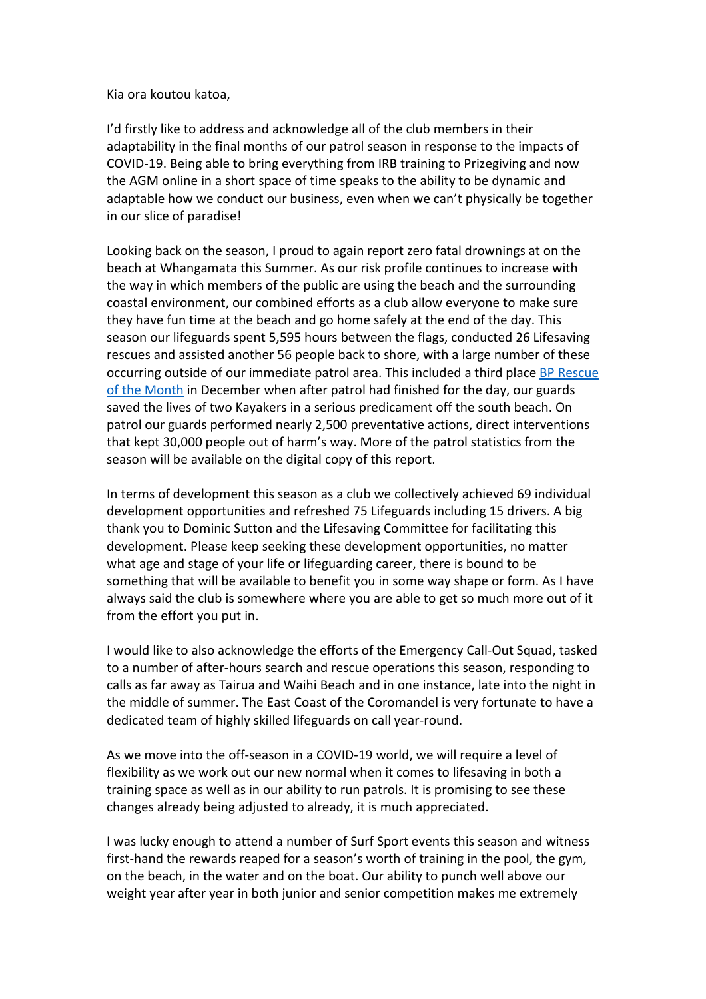Kia ora koutou katoa,

I'd firstly like to address and acknowledge all of the club members in their adaptability in the final months of our patrol season in response to the impacts of COVID-19. Being able to bring everything from IRB training to Prizegiving and now the AGM online in a short space of time speaks to the ability to be dynamic and adaptable how we conduct our business, even when we can't physically be together in our slice of paradise!

Looking back on the season, I proud to again report zero fatal drownings at on the beach at Whangamata this Summer. As our risk profile continues to increase with the way in which members of the public are using the beach and the surrounding coastal environment, our combined efforts as a club allow everyone to make sure they have fun time at the beach and go home safely at the end of the day. This season our lifeguards spent 5,595 hours between the flags, conducted 26 Lifesaving rescues and assisted another 56 people back to shore, with a large number of these occurring outside of our immediate patrol area. This included a third plac[e BP Rescue](https://www.surflifesaving.org.nz/media/989300/dec-citation-whangamata-3rd.pdf)  [of the Month](https://www.surflifesaving.org.nz/media/989300/dec-citation-whangamata-3rd.pdf) in December when after patrol had finished for the day, our guards saved the lives of two Kayakers in a serious predicament off the south beach. On patrol our guards performed nearly 2,500 preventative actions, direct interventions that kept 30,000 people out of harm's way. More of the patrol statistics from the season will be available on the digital copy of this report.

In terms of development this season as a club we collectively achieved 69 individual development opportunities and refreshed 75 Lifeguards including 15 drivers. A big thank you to Dominic Sutton and the Lifesaving Committee for facilitating this development. Please keep seeking these development opportunities, no matter what age and stage of your life or lifeguarding career, there is bound to be something that will be available to benefit you in some way shape or form. As I have always said the club is somewhere where you are able to get so much more out of it from the effort you put in.

I would like to also acknowledge the efforts of the Emergency Call-Out Squad, tasked to a number of after-hours search and rescue operations this season, responding to calls as far away as Tairua and Waihi Beach and in one instance, late into the night in the middle of summer. The East Coast of the Coromandel is very fortunate to have a dedicated team of highly skilled lifeguards on call year-round.

As we move into the off-season in a COVID-19 world, we will require a level of flexibility as we work out our new normal when it comes to lifesaving in both a training space as well as in our ability to run patrols. It is promising to see these changes already being adjusted to already, it is much appreciated.

I was lucky enough to attend a number of Surf Sport events this season and witness first-hand the rewards reaped for a season's worth of training in the pool, the gym, on the beach, in the water and on the boat. Our ability to punch well above our weight year after year in both junior and senior competition makes me extremely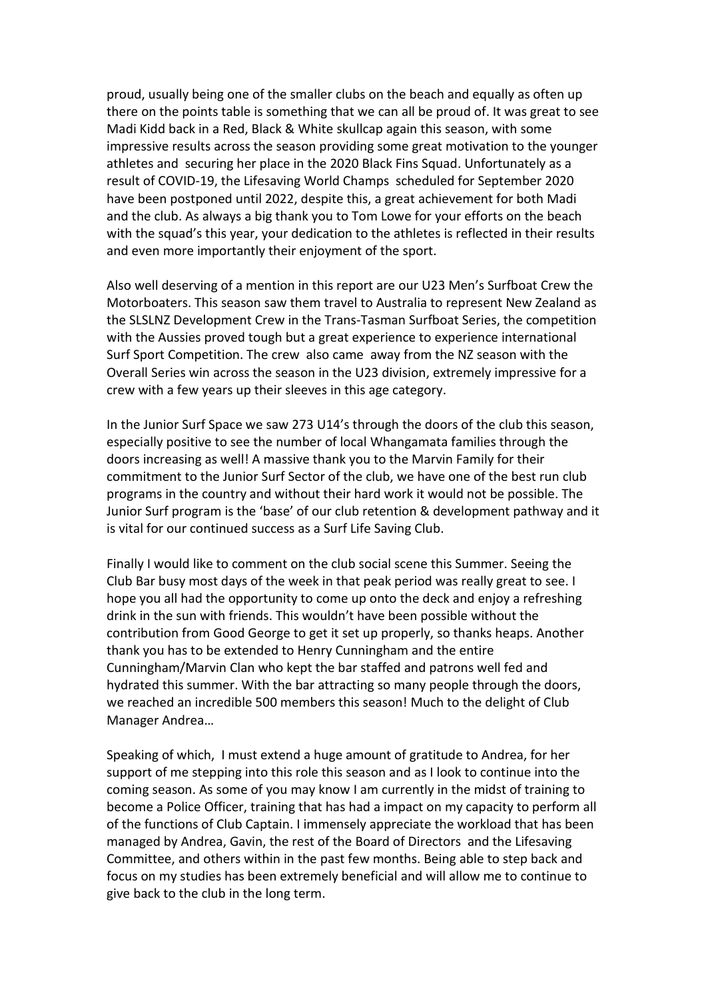proud, usually being one of the smaller clubs on the beach and equally as often up there on the points table is something that we can all be proud of. It was great to see Madi Kidd back in a Red, Black & White skullcap again this season, with some impressive results across the season providing some great motivation to the younger athletes and securing her place in the 2020 Black Fins Squad. Unfortunately as a result of COVID-19, the Lifesaving World Champs scheduled for September 2020 have been postponed until 2022, despite this, a great achievement for both Madi and the club. As always a big thank you to Tom Lowe for your efforts on the beach with the squad's this year, your dedication to the athletes is reflected in their results and even more importantly their enjoyment of the sport.

Also well deserving of a mention in this report are our U23 Men's Surfboat Crew the Motorboaters. This season saw them travel to Australia to represent New Zealand as the SLSLNZ Development Crew in the Trans-Tasman Surfboat Series, the competition with the Aussies proved tough but a great experience to experience international Surf Sport Competition. The crew also came away from the NZ season with the Overall Series win across the season in the U23 division, extremely impressive for a crew with a few years up their sleeves in this age category.

In the Junior Surf Space we saw 273 U14's through the doors of the club this season, especially positive to see the number of local Whangamata families through the doors increasing as well! A massive thank you to the Marvin Family for their commitment to the Junior Surf Sector of the club, we have one of the best run club programs in the country and without their hard work it would not be possible. The Junior Surf program is the 'base' of our club retention & development pathway and it is vital for our continued success as a Surf Life Saving Club.

Finally I would like to comment on the club social scene this Summer. Seeing the Club Bar busy most days of the week in that peak period was really great to see. I hope you all had the opportunity to come up onto the deck and enjoy a refreshing drink in the sun with friends. This wouldn't have been possible without the contribution from Good George to get it set up properly, so thanks heaps. Another thank you has to be extended to Henry Cunningham and the entire Cunningham/Marvin Clan who kept the bar staffed and patrons well fed and hydrated this summer. With the bar attracting so many people through the doors, we reached an incredible 500 members this season! Much to the delight of Club Manager Andrea…

Speaking of which, I must extend a huge amount of gratitude to Andrea, for her support of me stepping into this role this season and as I look to continue into the coming season. As some of you may know I am currently in the midst of training to become a Police Officer, training that has had a impact on my capacity to perform all of the functions of Club Captain. I immensely appreciate the workload that has been managed by Andrea, Gavin, the rest of the Board of Directors and the Lifesaving Committee, and others within in the past few months. Being able to step back and focus on my studies has been extremely beneficial and will allow me to continue to give back to the club in the long term.